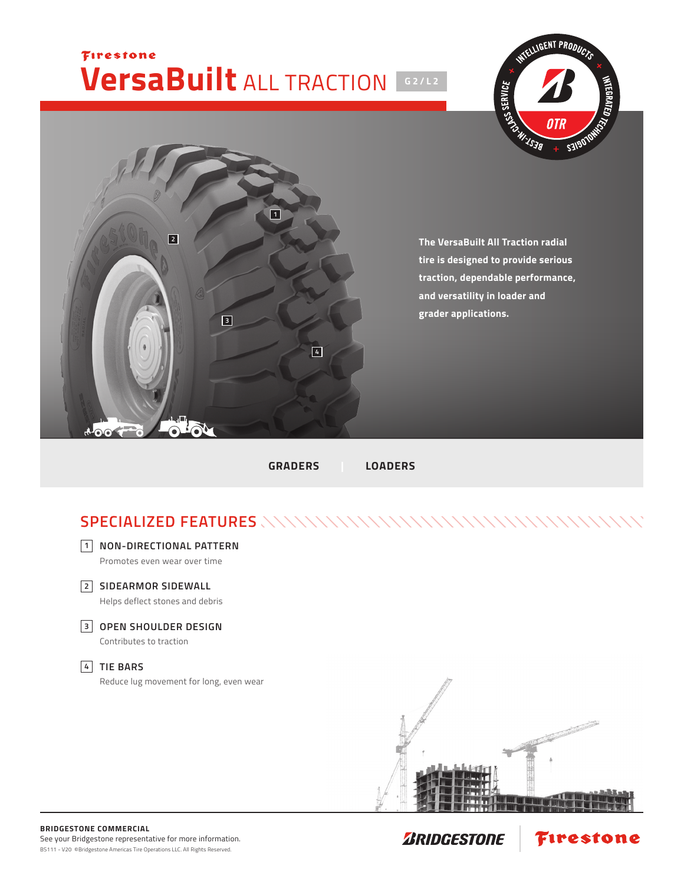## Firestone **VersaBuilt** ALL TRACTION **G2/L2**





**The VersaBuilt All Traction radial tire is designed to provide serious traction, dependable performance, and versatility in loader and grader applications.**

**GRADERS | LOADERS**

## **SPECIALIZED FEATURES**



**NON-DIRECTIONAL PATTERN 1** Promotes even wear over time



Helps deflect stones and debris

**OPEN SHOULDER DESIGN 3**

Contributes to traction

## **TIE BARS 4**

Reduce lug movement for long, even wear



**Firestone**